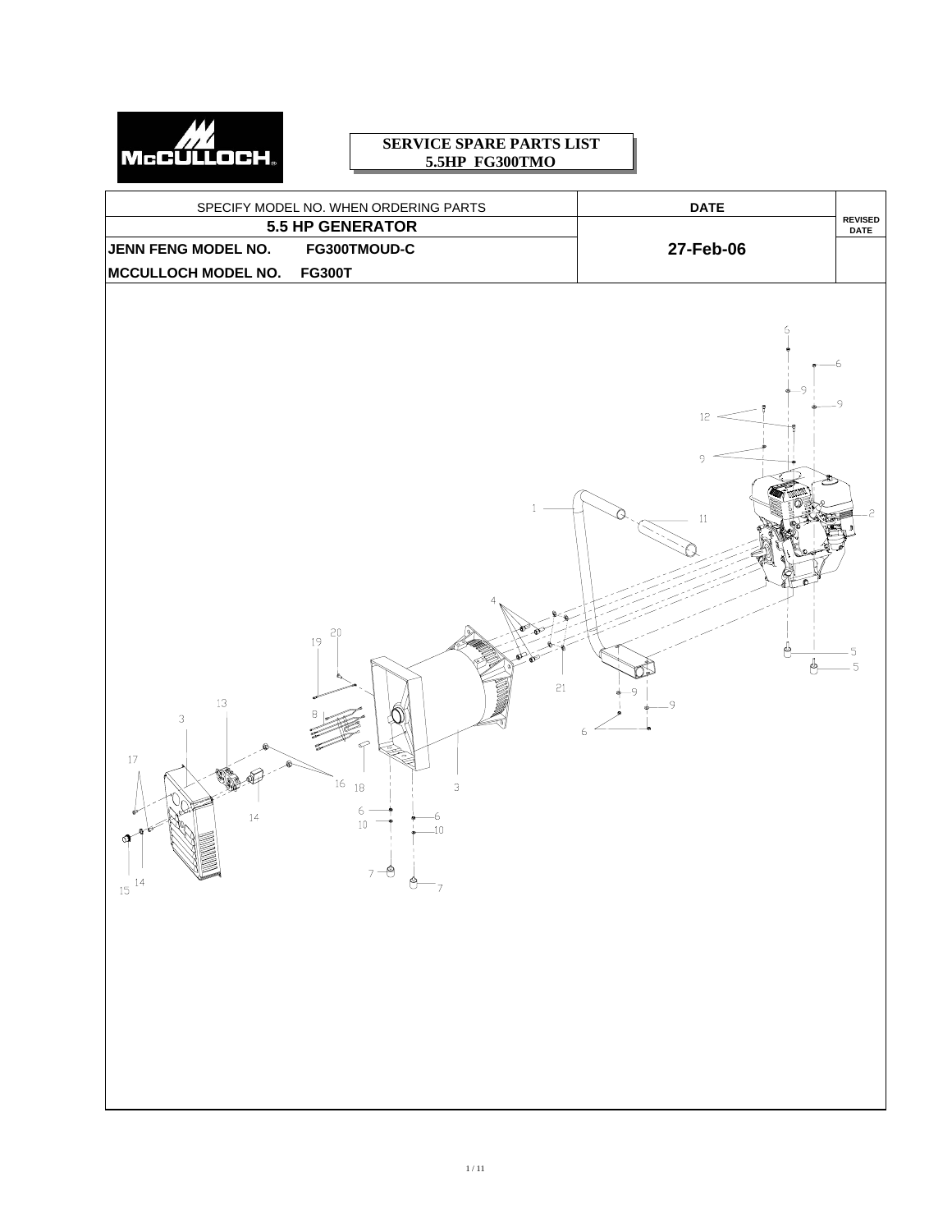

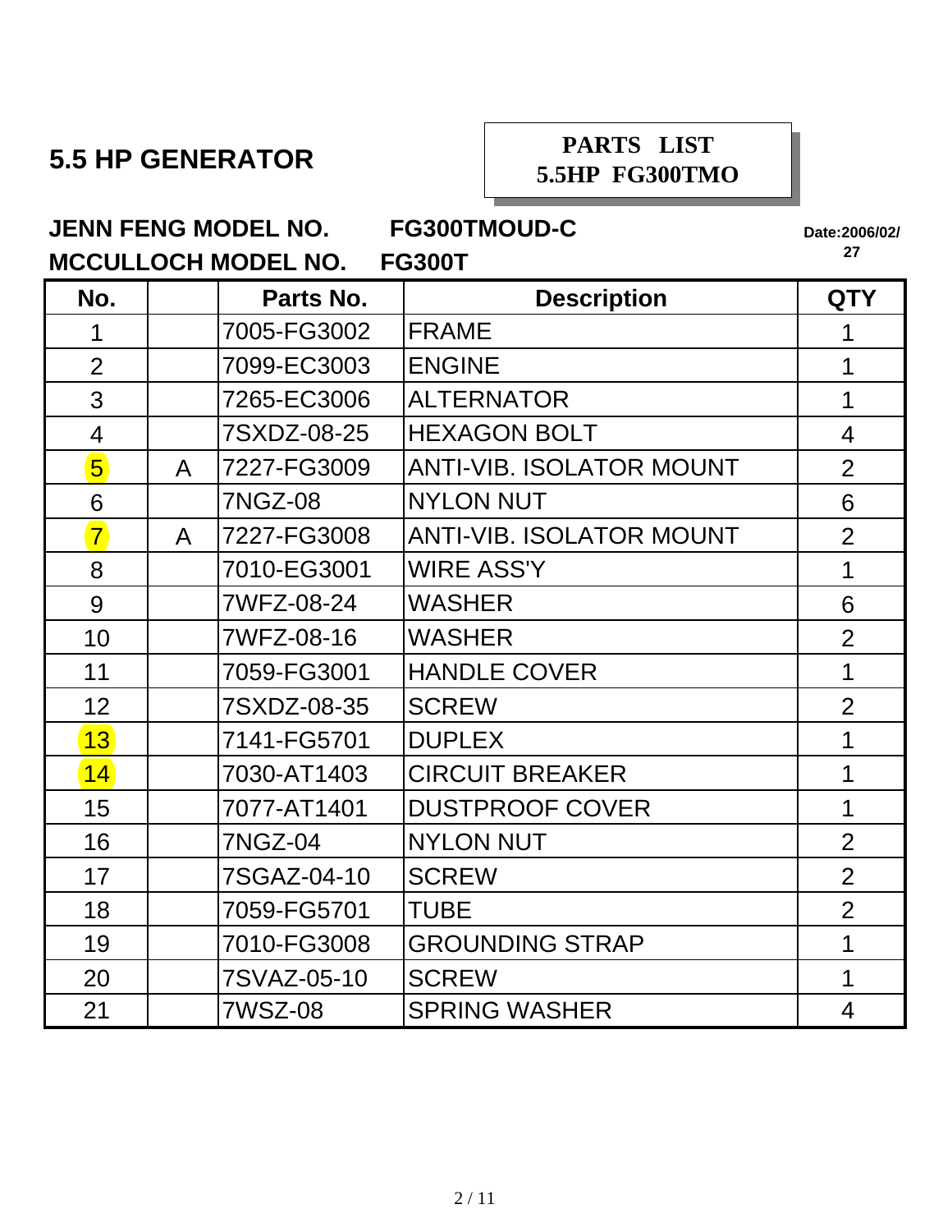## **5.5 HP GENERATOR**

### **PARTS LIST 5.5HP FG300TMO**

**JENN FENG MODEL NO. FG300TMOUD-C**

**Date:2006/02/**

| MCCULLOCH MODEL NO. FG300T |              |                |                                 |                |
|----------------------------|--------------|----------------|---------------------------------|----------------|
| No.                        |              | Parts No.      | <b>Description</b>              | <b>QTY</b>     |
| 1                          |              | 7005-FG3002    | <b>FRAME</b>                    | 1              |
| $\overline{2}$             |              | 7099-EC3003    | <b>ENGINE</b>                   | 1              |
| 3                          |              | 7265-EC3006    | <b>ALTERNATOR</b>               | 1              |
| $\overline{4}$             |              | 7SXDZ-08-25    | <b>HEXAGON BOLT</b>             | 4              |
| $\overline{5}$             | $\mathsf{A}$ | 7227-FG3009    | <b>ANTI-VIB. ISOLATOR MOUNT</b> | $\overline{2}$ |
| 6                          |              | <b>7NGZ-08</b> | <b>NYLON NUT</b>                | 6              |
| $\overline{7}$             | $\mathsf{A}$ | 7227-FG3008    | <b>ANTI-VIB. ISOLATOR MOUNT</b> | $\overline{2}$ |
| 8                          |              | 7010-EG3001    | <b>WIRE ASS'Y</b>               | 1              |
| 9                          |              | 7WFZ-08-24     | <b>WASHER</b>                   | 6              |
| 10                         |              | 7WFZ-08-16     | <b>WASHER</b>                   | $\overline{2}$ |
| 11                         |              | 7059-FG3001    | <b>HANDLE COVER</b>             | 1              |
| 12                         |              | 7SXDZ-08-35    | <b>SCREW</b>                    | $\overline{2}$ |
| 13                         |              | 7141-FG5701    | <b>DUPLEX</b>                   | 1              |
| 14                         |              | 7030-AT1403    | <b>CIRCUIT BREAKER</b>          | 1              |
| 15                         |              | 7077-AT1401    | <b>DUSTPROOF COVER</b>          | 1              |
| 16                         |              | 7NGZ-04        | <b>NYLON NUT</b>                | $\overline{2}$ |
| 17                         |              | 7SGAZ-04-10    | <b>SCREW</b>                    | $\overline{2}$ |
| 18                         |              | 7059-FG5701    | <b>TUBE</b>                     | $\overline{2}$ |
| 19                         |              | 7010-FG3008    | <b>GROUNDING STRAP</b>          | 1              |
| 20                         |              | 7SVAZ-05-10    | <b>SCREW</b>                    | 1              |
| 21                         |              | 7WSZ-08        | <b>SPRING WASHER</b>            | $\overline{4}$ |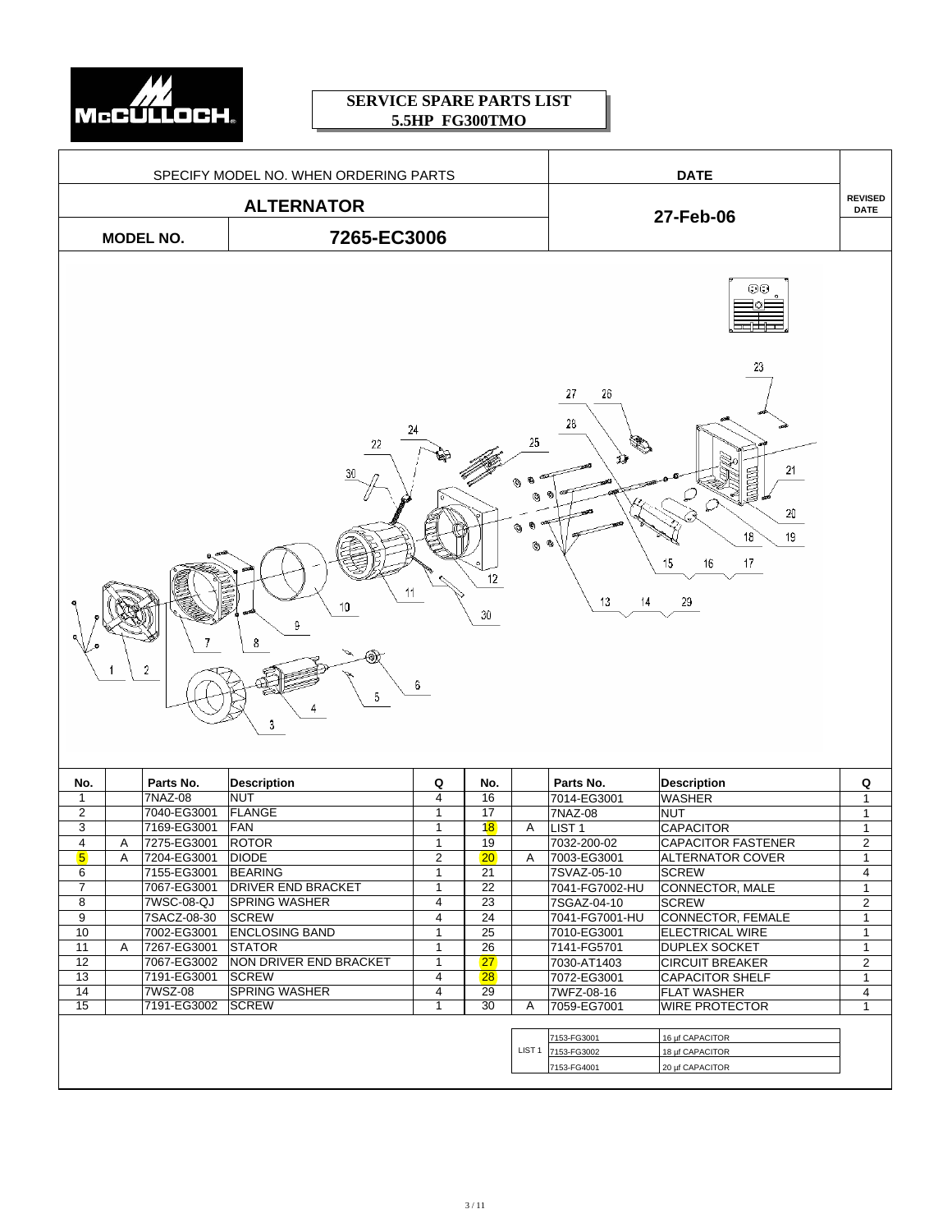

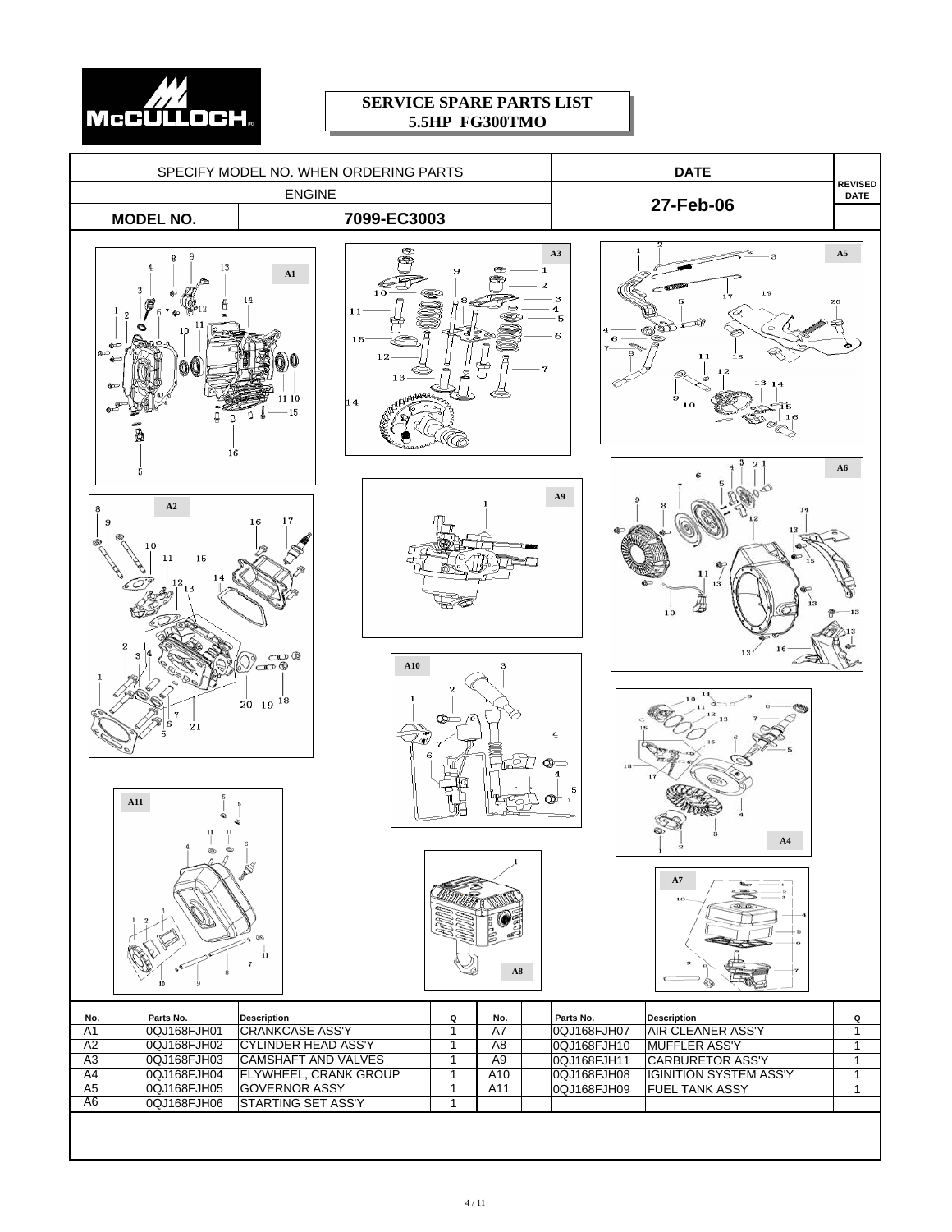

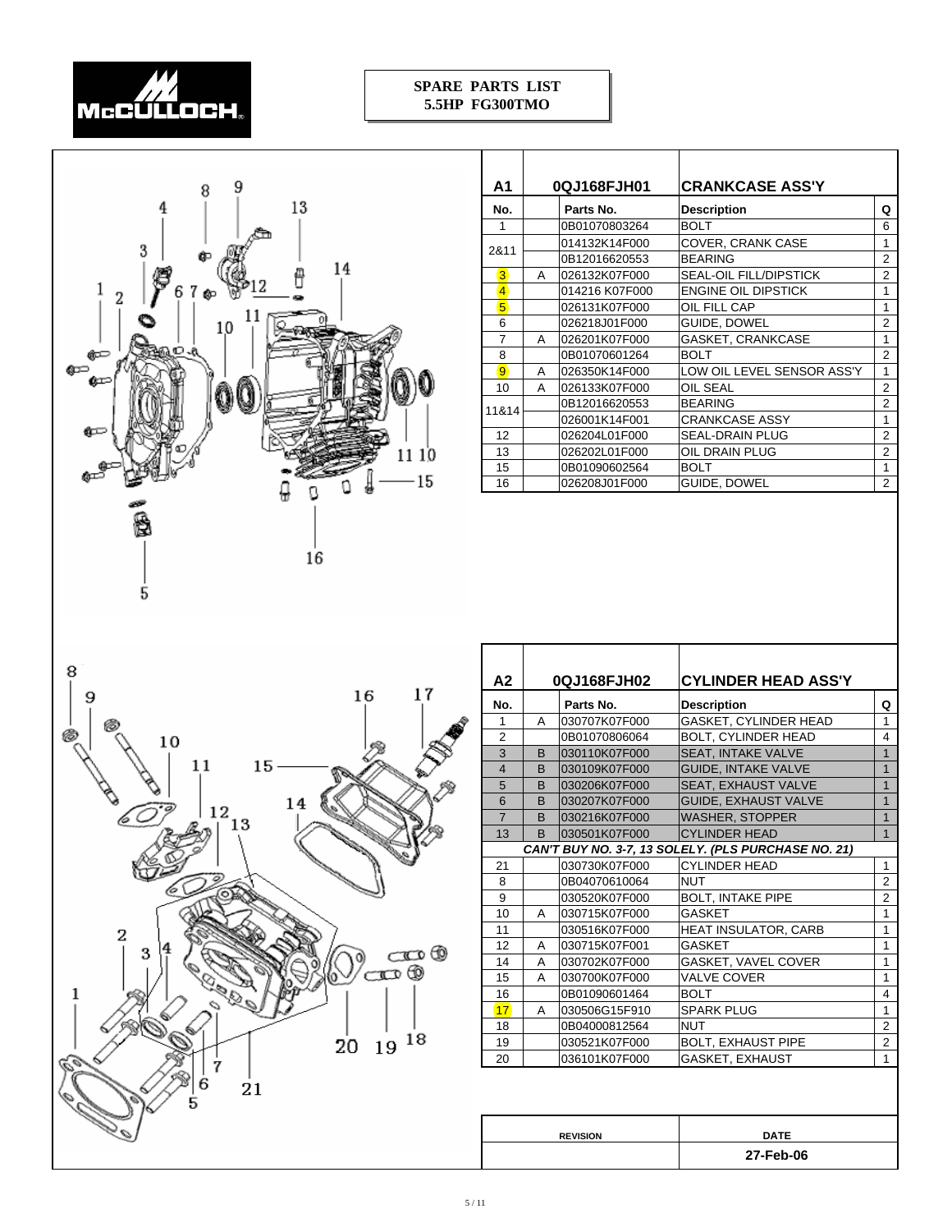



| Α1             |   | 0QJ168FJH01    | <b>CRANKCASE ASS'Y</b>        |                |
|----------------|---|----------------|-------------------------------|----------------|
| No.            |   | Parts No.      | <b>Description</b>            | Q              |
| 1              |   | 0B01070803264  | <b>BOLT</b>                   | 6              |
| 2&11           |   | 014132K14F000  | COVER, CRANK CASE             | 1              |
|                |   | 0B12016620553  | <b>BEARING</b>                | $\overline{2}$ |
| 3              | A | 026132K07F000  | <b>SEAL-OIL FILL/DIPSTICK</b> | $\overline{2}$ |
| $\overline{4}$ |   | 014216 K07F000 | ENGINE OIL DIPSTICK           | 1              |
| 5 <sup>1</sup> |   | 026131K07F000  | OIL FILL CAP                  | 1              |
| 6              |   | 026218J01F000  | GUIDE, DOWEL                  | $\overline{2}$ |
| 7              | A | 026201K07F000  | GASKET, CRANKCASE             | 1              |
| 8              |   | 0B01070601264  | <b>BOLT</b>                   | $\overline{2}$ |
| $\overline{9}$ | A | 026350K14F000  | LOW OIL LEVEL SENSOR ASS'Y    | 1              |
| 10             | A | 026133K07F000  | OIL SEAL                      | $\overline{2}$ |
| 11&14          |   | 0B12016620553  | <b>BEARING</b>                | $\overline{2}$ |
|                |   | 026001K14F001  | <b>CRANKCASE ASSY</b>         | 1              |
| 12             |   | 026204L01F000  | SEAL-DRAIN PLUG               | $\overline{2}$ |
| 13             |   | 026202L01F000  | OIL DRAIN PLUG                | $\overline{2}$ |
| 15             |   | 0B01090602564  | <b>BOLT</b>                   | 1              |
| 16             |   | 026208J01F000  | GUIDE, DOWEL                  | $\overline{2}$ |



| A2             | 0QJ168FJH02 |               | <b>CYLINDER HEAD ASS'Y</b>                          |                |
|----------------|-------------|---------------|-----------------------------------------------------|----------------|
| No.            |             | Parts No.     | <b>Description</b>                                  | Q              |
| 1              | A           | 030707K07F000 | GASKET, CYLINDER HEAD                               | 1              |
| $\overline{2}$ |             | 0B01070806064 | <b>BOLT, CYLINDER HEAD</b>                          | 4              |
| 3              | B           | 030110K07F000 | <b>SEAT, INTAKE VALVE</b>                           | $\mathbf{1}$   |
| $\overline{4}$ | B           | 030109K07F000 | <b>GUIDE, INTAKE VALVE</b>                          | $\mathbf{1}$   |
| 5              | B           | 030206K07F000 | <b>SEAT. EXHAUST VALVE</b>                          | $\mathbf{1}$   |
| 6              | B           | 030207K07F000 | GUIDE, EXHAUST VALVE                                | $\overline{1}$ |
| $\overline{7}$ | B           | 030216K07F000 | <b>WASHER, STOPPER</b>                              | $\mathbf{1}$   |
| 13             | B           | 030501K07F000 | <b>CYLINDER HEAD</b>                                | $\overline{1}$ |
|                |             |               | CAN'T BUY NO. 3-7, 13 SOLELY. (PLS PURCHASE NO. 21) |                |
| 21             |             | 030730K07F000 | <b>CYLINDER HEAD</b>                                | 1              |
| 8              |             | 0B04070610064 | <b>NUT</b>                                          | $\overline{2}$ |
| 9              |             | 030520K07F000 | <b>BOLT, INTAKE PIPE</b>                            | $\overline{2}$ |
| 10             | A           | 030715K07F000 | GASKET                                              | 1              |
| 11             |             | 030516K07F000 | HEAT INSULATOR, CARB                                | 1              |
| 12             | A           | 030715K07F001 | GASKET                                              | 1              |
| 14             | A           | 030702K07F000 | GASKET, VAVEL COVER                                 | 1              |
| 15             | A           | 030700K07F000 | <b>VALVE COVER</b>                                  | 1              |
| 16             |             | 0B01090601464 | <b>BOLT</b>                                         | 4              |
| 17             | A           | 030506G15F910 | <b>SPARK PLUG</b>                                   | 1              |
| 18             |             | 0B04000812564 | <b>NUT</b>                                          | $\overline{2}$ |
| 19             |             | 030521K07F000 | <b>BOLT, EXHAUST PIPE</b>                           | $\overline{2}$ |
| 20             |             | 036101K07F000 | GASKET, EXHAUST                                     | 1              |
|                |             |               |                                                     |                |

 $\overline{\phantom{a}}$ 

**DATE 27-Feb-06**

**REVISION**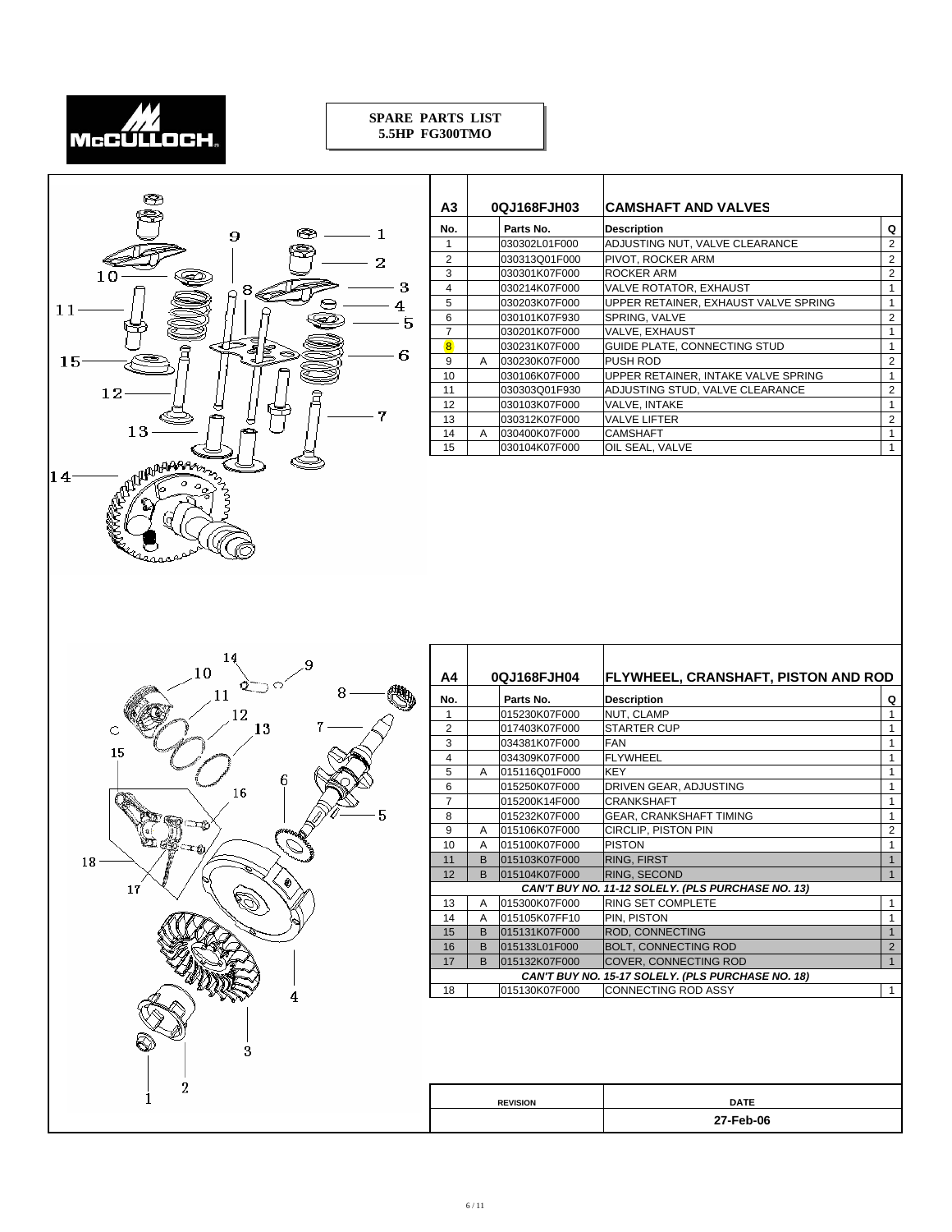



| А3             | 0QJ168FJH03 |               | <b>CAMSHAFT AND VALVES</b>           |                |
|----------------|-------------|---------------|--------------------------------------|----------------|
| No.            |             | Parts No.     | <b>Description</b>                   | Q              |
|                |             | 030302L01F000 | ADJUSTING NUT, VALVE CLEARANCE       | $\overline{2}$ |
| $\overline{2}$ |             | 030313Q01F000 | PIVOT, ROCKER ARM                    | $\overline{2}$ |
| 3              |             | 030301K07F000 | ROCKER ARM                           | $\overline{2}$ |
| $\overline{4}$ |             | 030214K07F000 | VALVE ROTATOR, EXHAUST               | 1              |
| 5              |             | 030203K07F000 | UPPER RETAINER, EXHAUST VALVE SPRING | 1              |
| 6              |             | 030101K07F930 | SPRING, VALVE                        | 2              |
| 7              |             | 030201K07F000 | VALVE, EXHAUST                       | 1              |
| $\overline{8}$ |             | 030231K07F000 | GUIDE PLATE, CONNECTING STUD         | 1              |
| 9              | A           | 030230K07F000 | <b>PUSH ROD</b>                      | 2              |
| 10             |             | 030106K07F000 | UPPER RETAINER, INTAKE VALVE SPRING  | 1              |
| 11             |             | 030303Q01F930 | ADJUSTING STUD, VALVE CLEARANCE      | 2              |
| 12             |             | 030103K07F000 | VALVE, INTAKE                        | 1              |
| 13             |             | 030312K07F000 | <b>VALVE LIFTER</b>                  | 2              |
| 14             | A           | 030400K07F000 | <b>CAMSHAFT</b>                      | 1              |
| 15             |             | 030104K07F000 | OIL SEAL, VALVE                      | 1              |



| Α4             | 0QJ168FJH04  |                 | <b>FLYWHEEL, CRANSHAFT, PISTON AND ROD</b>        |                |
|----------------|--------------|-----------------|---------------------------------------------------|----------------|
| No.            | Parts No.    |                 | <b>Description</b>                                | Q              |
| 1              |              | 015230K07F000   | NUT. CLAMP                                        | 1              |
| $\overline{2}$ |              | 017403K07F000   | <b>STARTER CUP</b>                                | 1              |
| 3              |              | 034381K07F000   | <b>FAN</b>                                        | 1              |
| $\overline{4}$ |              | 034309K07F000   | <b>FLYWHEEL</b>                                   | 1              |
| 5              | A            | 015116Q01F000   | <b>KEY</b>                                        | 1              |
| 6              |              | 015250K07F000   | DRIVEN GEAR, ADJUSTING                            | $\mathbf{1}$   |
| $\overline{7}$ |              | 015200K14F000   | <b>CRANKSHAFT</b>                                 | 1              |
| 8              |              | 015232K07F000   | <b>GEAR, CRANKSHAFT TIMING</b>                    | $\mathbf{1}$   |
| 9              | A            | 015106K07F000   | <b>CIRCLIP, PISTON PIN</b>                        | $\overline{2}$ |
| 10             | A            | 015100K07F000   | <b>PISTON</b>                                     | $\mathbf{1}$   |
| 11             | <sub>R</sub> | 015103K07F000   | <b>RING, FIRST</b>                                | $\overline{1}$ |
| 12             | <sub>B</sub> | 015104K07F000   | RING, SECOND                                      | $\mathbf{1}$   |
|                |              |                 | CAN'T BUY NO. 11-12 SOLELY. (PLS PURCHASE NO. 13) |                |
| 13             | A            | 015300K07F000   | RING SET COMPLETE                                 | 1              |
| 14             | A            | 015105K07FF10   | PIN. PISTON                                       | 1              |
| 15             | в            | 015131K07F000   | <b>ROD, CONNECTING</b>                            | $\mathbf{1}$   |
| 16             | <sub>B</sub> | 015133L01F000   | <b>BOLT, CONNECTING ROD</b>                       | $\overline{2}$ |
| 17             | <sub>B</sub> | 015132K07F000   | <b>COVER, CONNECTING ROD</b>                      | $\overline{1}$ |
|                |              |                 | CAN'T BUY NO. 15-17 SOLELY. (PLS PURCHASE NO. 18) |                |
| 18             |              | 015130K07F000   | <b>CONNECTING ROD ASSY</b>                        | $\mathbf{1}$   |
|                |              |                 |                                                   |                |
|                |              |                 |                                                   |                |
|                |              |                 |                                                   |                |
|                |              |                 |                                                   |                |
|                |              |                 |                                                   |                |
|                |              | <b>REVISION</b> | <b>DATE</b>                                       |                |
|                |              |                 | 27-Feb-06                                         |                |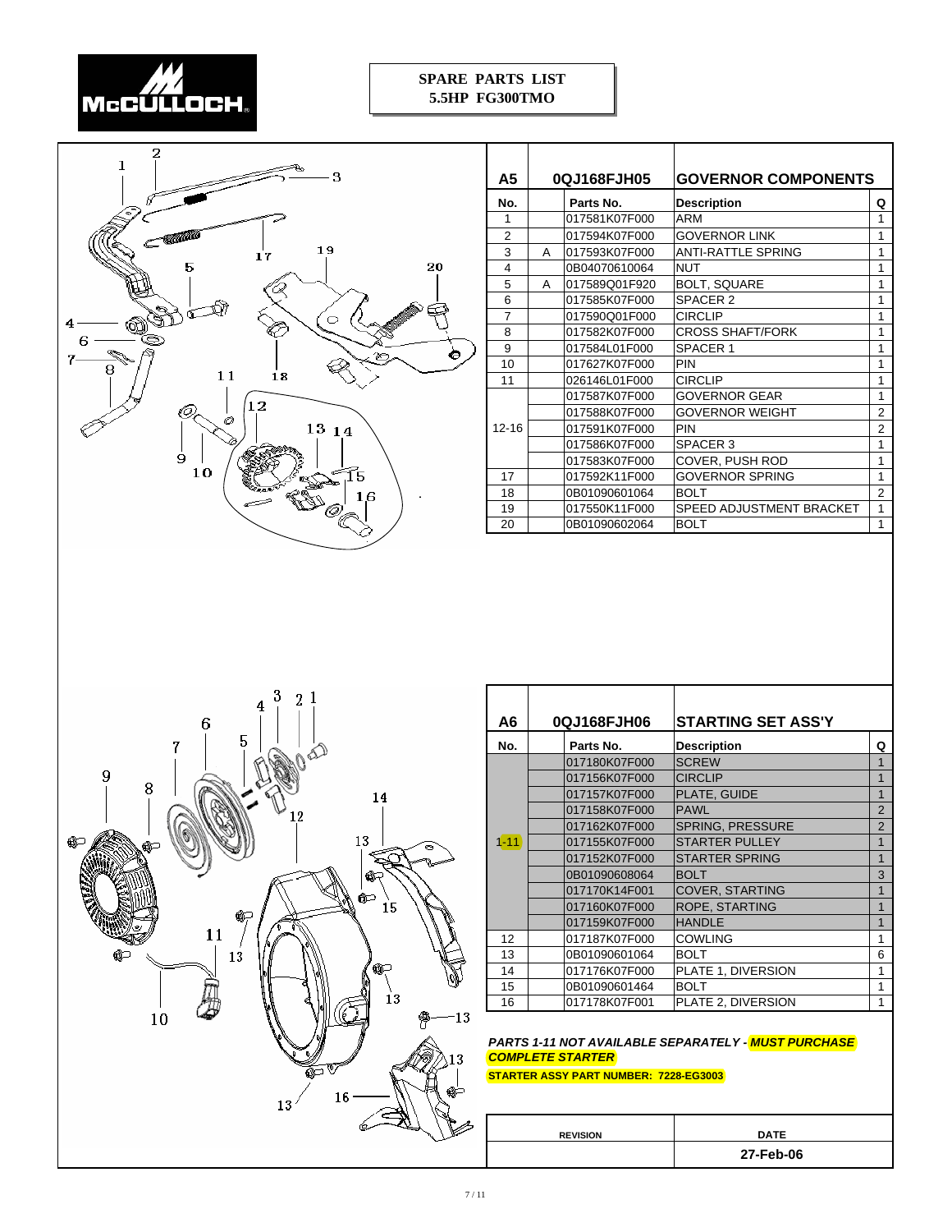



| А5        |   | 0QJ168FJH05   | <b>GOVERNOR COMPONENTS</b> |                |
|-----------|---|---------------|----------------------------|----------------|
| No.       |   | Parts No.     | <b>Description</b>         | Q              |
| 1         |   | 017581K07F000 | <b>ARM</b>                 | 1              |
| 2         |   | 017594K07F000 | <b>GOVERNOR LINK</b>       | 1              |
| 3         | Α | 017593K07F000 | ANTI-RATTLE SPRING         | 1              |
| 4         |   | 0B04070610064 | <b>NUT</b>                 | 1              |
| 5         | A | 017589Q01F920 | <b>BOLT, SQUARE</b>        | 1              |
| 6         |   | 017585K07F000 | SPACER 2                   | 1              |
| 7         |   | 017590Q01F000 | <b>CIRCLIP</b>             | 1              |
| 8         |   | 017582K07F000 | <b>CROSS SHAFT/FORK</b>    | 1              |
| 9         |   | 017584L01F000 | SPACER 1                   | 1              |
| 10        |   | 017627K07F000 | PIN                        | 1              |
| 11        |   | 026146L01F000 | <b>CIRCLIP</b>             | 1              |
|           |   | 017587K07F000 | GOVERNOR GEAR              | 1              |
|           |   | 017588K07F000 | <b>GOVERNOR WEIGHT</b>     | $\overline{2}$ |
| $12 - 16$ |   | 017591K07F000 | <b>PIN</b>                 | $\mathcal{P}$  |
|           |   | 017586K07F000 | SPACER <sub>3</sub>        | 1              |
|           |   | 017583K07F000 | COVER, PUSH ROD            | 1              |
| 17        |   | 017592K11F000 | GOVERNOR SPRING            | 1              |
| 18        |   | 0B01090601064 | <b>BOLT</b>                | $\overline{2}$ |
| 19        |   | 017550K11F000 | SPEED ADJUSTMENT BRACKET   | 1              |
| 20        |   | 0B01090602064 | <b>BOLT</b>                | 1              |



| Α6       | 0QJ168FJH06   | <b>STARTING SET ASS'Y</b> |                |
|----------|---------------|---------------------------|----------------|
| No.      | Parts No.     | <b>Description</b>        | Q              |
|          | 017180K07F000 | <b>SCREW</b>              | 1              |
|          | 017156K07F000 | <b>CIRCLIP</b>            | 1              |
|          | 017157K07F000 | PLATE, GUIDE              | 1              |
|          | 017158K07F000 | <b>PAWL</b>               | $\overline{2}$ |
|          | 017162K07F000 | SPRING, PRESSURE          | 2              |
| $1 - 11$ | 017155K07F000 | <b>STARTER PULLEY</b>     | $\mathbf{1}$   |
|          | 017152K07F000 | <b>STARTER SPRING</b>     | $\mathbf{1}$   |
|          | 0B01090608064 | <b>BOLT</b>               | 3              |
|          | 017170K14F001 | <b>COVER, STARTING</b>    | 1              |
|          | 017160K07F000 | ROPE, STARTING            | 1              |
|          | 017159K07F000 | <b>HANDLE</b>             | 1              |
| 12       | 017187K07F000 | <b>COWLING</b>            | 1              |
| 13       | 0B01090601064 | <b>BOLT</b>               | 6              |
| 14       | 017176K07F000 | PLATE 1, DIVERSION        | 1              |
| 15       | 0B01090601464 | <b>BOLT</b>               | 1              |
| 16       | 017178K07F001 | PLATE 2, DIVERSION        | 1              |

Т

#### *PARTS 1-11 NOT AVAILABLE SEPARATELY - MUST PURCHASE COMPLETE STARTER*

#### **STARTER ASSY PART NUMBER: 7228-EG3003**

| <b>DATE</b> |
|-------------|
| 27-Feb-06   |
|             |

Τ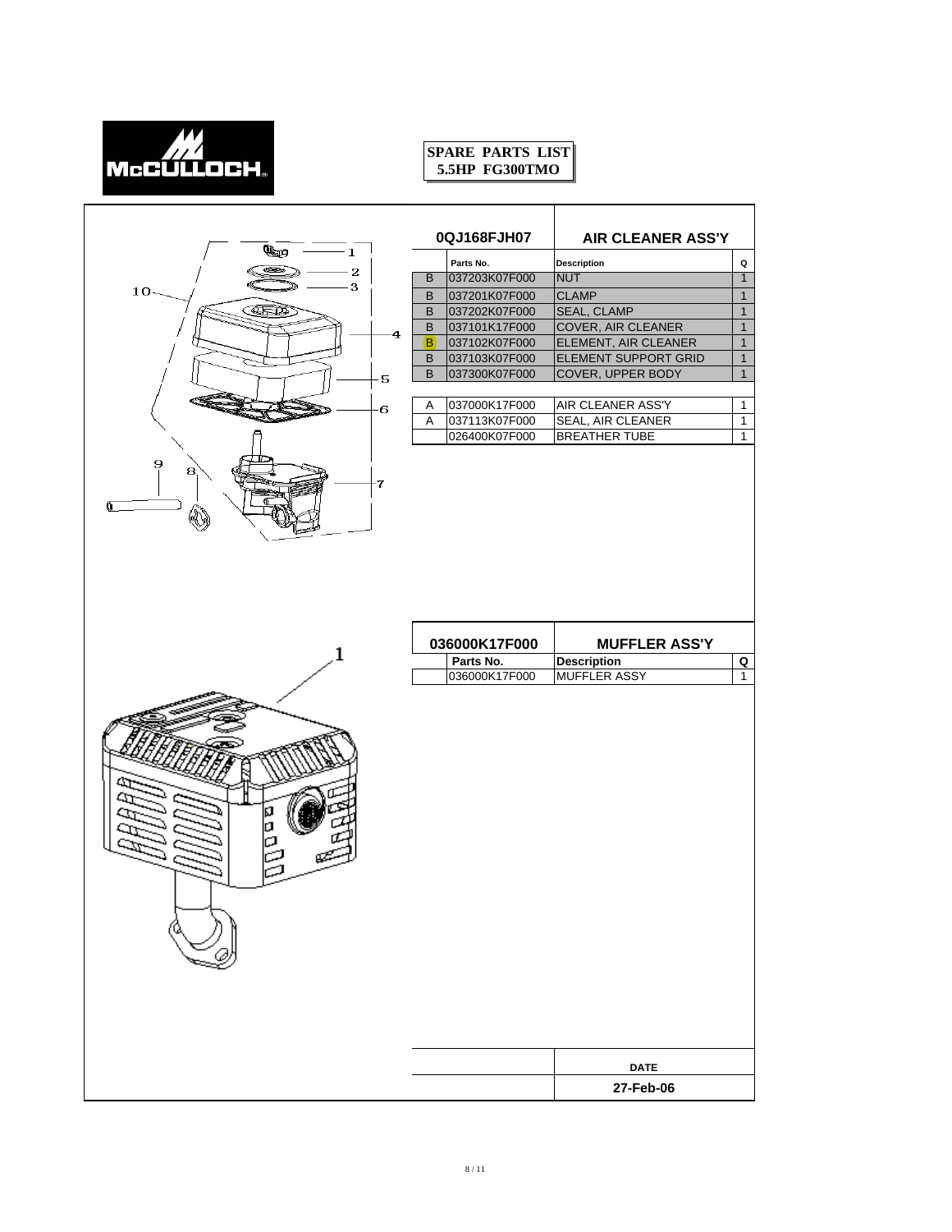

|                      |    | 0QJ168FJH07   | <b>AIR CLEANER ASS'Y</b>    |                |
|----------------------|----|---------------|-----------------------------|----------------|
| u,<br>- 1            |    | Parts No.     | Description                 | Q              |
| حد≅<br>2             | B  | 037203K07F000 | <b>NUT</b>                  | 1              |
| 3<br>10 <sub>1</sub> | B  | 037201K07F000 | <b>CLAMP</b>                | $\mathbf{1}$   |
| <b>CELED</b>         | B  | 037202K07F000 | <b>SEAL, CLAMP</b>          | $\mathbf{1}$   |
| 4                    | B  | 037101K17F000 | COVER, AIR CLEANER          | $\mathbf{1}$   |
|                      | B) | 037102K07F000 | ELEMENT, AIR CLEANER        | $\overline{1}$ |
|                      | B  | 037103K07F000 | <b>ELEMENT SUPPORT GRID</b> | $\mathbf{1}$   |
| 5                    | B  | 037300K07F000 | COVER, UPPER BODY           | $\overline{1}$ |
| 6                    | Α  | 037000K17F000 | AIR CLEANER ASS'Y           | $\mathbf{1}$   |
|                      | Α  | 037113K07F000 | SEAL, AIR CLEANER           | $\mathbf{1}$   |
|                      |    | 026400K07F000 | <b>BREATHER TUBE</b>        | $\mathbf{1}$   |
| 8<br>7               |    |               |                             |                |
|                      |    | 036000K17F000 | <b>MUFFLER ASS'Y</b>        |                |
| 1                    |    | Parts No.     | <b>Description</b>          | Q              |
|                      |    | 036000K17F000 | MUFFLER ASSY                | $\mathbf{1}$   |
|                      |    |               |                             |                |
|                      |    |               |                             |                |
|                      |    |               | <b>DATE</b><br>27-Feb-06    |                |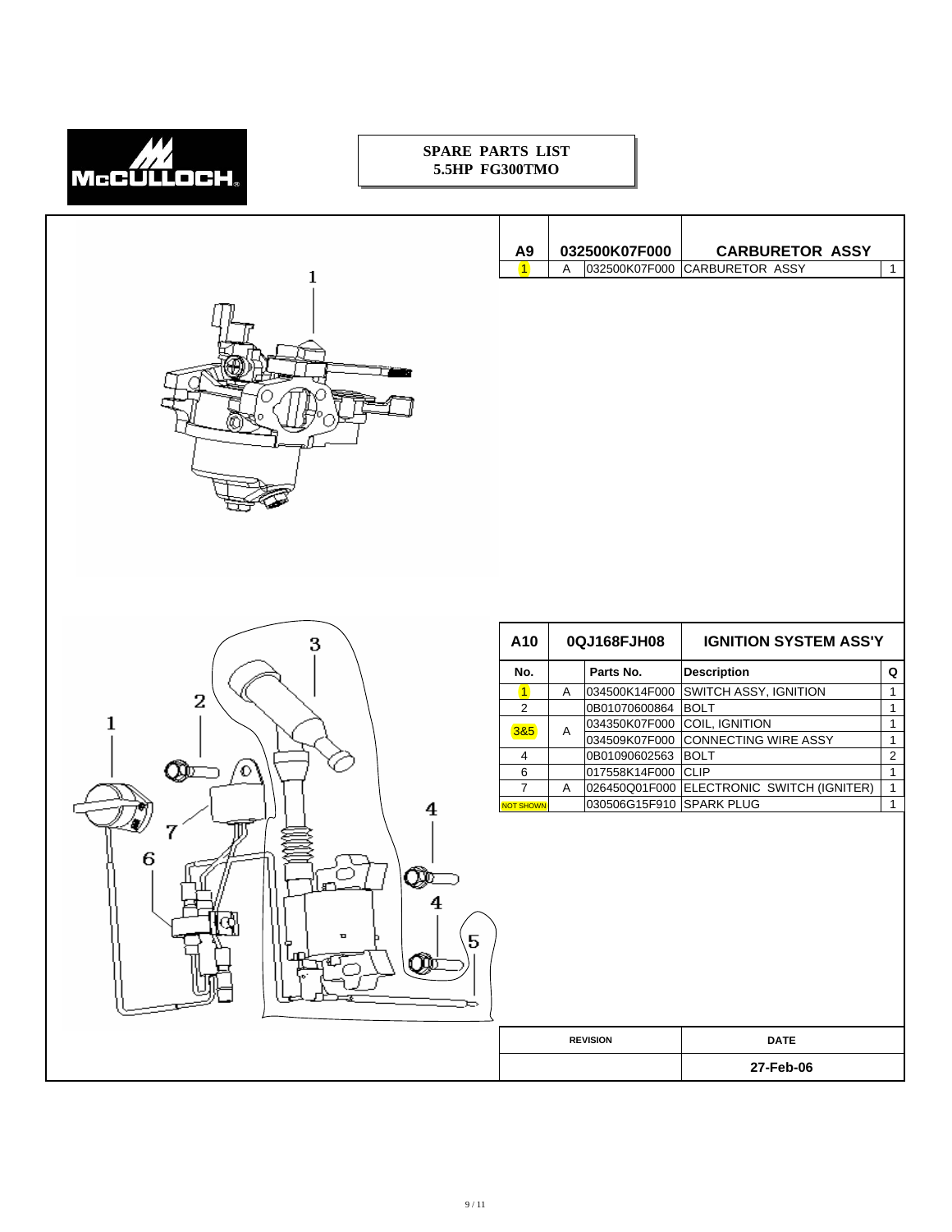

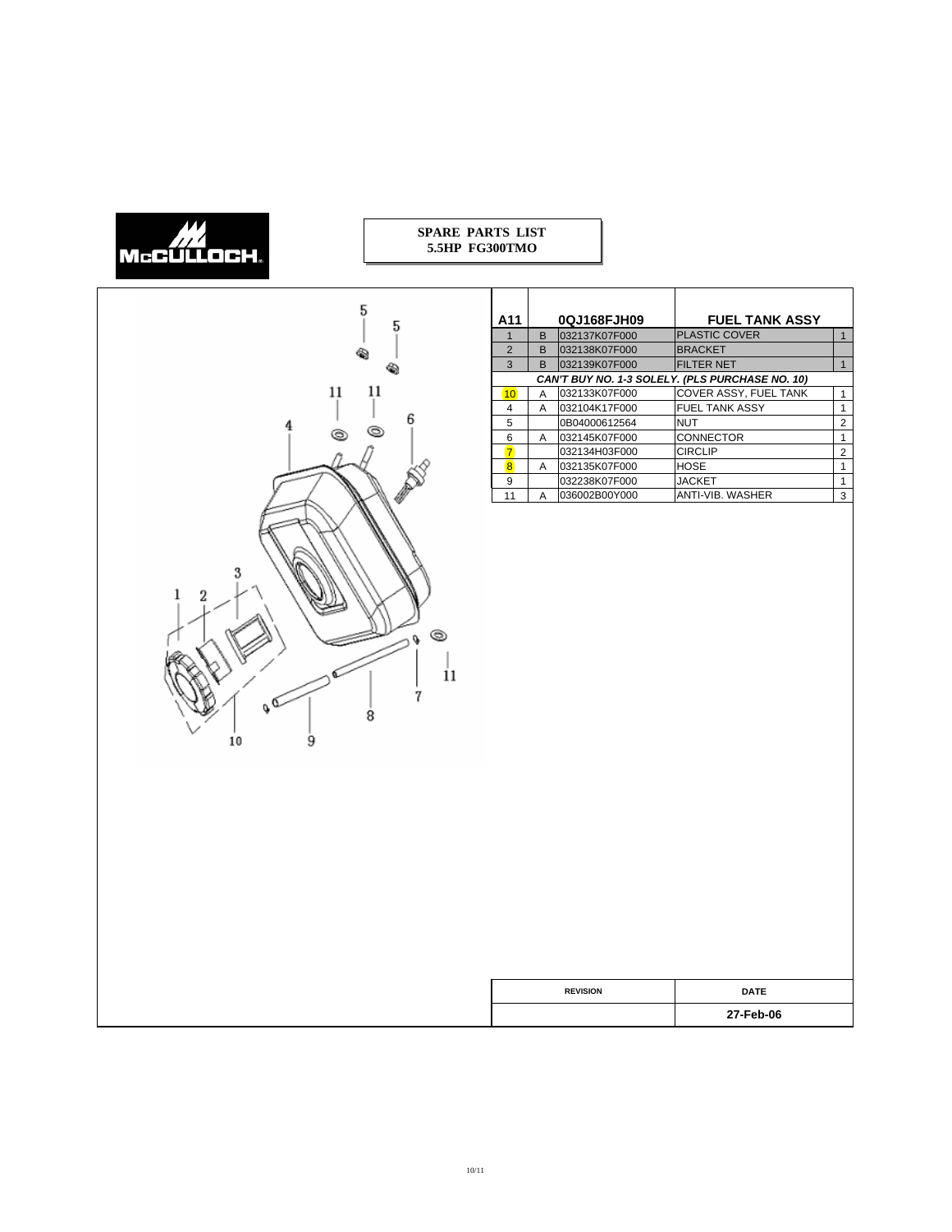# McCULLOCH

#### **SPARE PARTS LIST 5.5HP FG300TMO**



| A11            |              | 0QJ168FJH09   | <b>FUEL TANK ASSY</b>                           |                |
|----------------|--------------|---------------|-------------------------------------------------|----------------|
|                |              |               |                                                 |                |
| 1              | <sub>R</sub> | 032137K07F000 | <b>PLASTIC COVER</b>                            | 1              |
| $\overline{2}$ | <sub>B</sub> | 032138K07F000 | <b>BRACKET</b>                                  |                |
| 3              | <sub>R</sub> | 032139K07F000 | <b>FILTER NET</b>                               | 1              |
|                |              |               | CAN'T BUY NO. 1-3 SOLELY. (PLS PURCHASE NO. 10) |                |
| 10             | A            | 032133K07F000 | COVER ASSY, FUEL TANK                           | 1              |
| 4              | A            | 032104K17F000 | <b>FUEL TANK ASSY</b>                           | 1              |
| 5              |              | 0B04000612564 | <b>NUT</b>                                      | $\overline{2}$ |
| 6              | A            | 032145K07F000 | CONNECTOR                                       | 1              |
| 7              |              | 032134H03F000 | <b>CIRCLIP</b>                                  | $\overline{2}$ |
| 8              | А            | 032135K07F000 | <b>HOSE</b>                                     | 1              |
| 9              |              | 032238K07F000 | <b>JACKET</b>                                   | 1              |
| 11             | A            | 036002B00Y000 | ANTI-VIB. WASHER                                | 3              |

| <b>REVISION</b> | <b>DATE</b> |
|-----------------|-------------|
|                 | 27-Feb-06   |
|                 |             |

 $\Gamma$